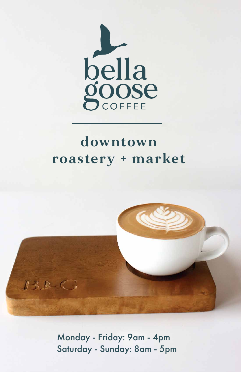

# **downtown roastery + market**



### Monday - Friday: 9am - 4pm Saturday - Sunday: 8am - 5pm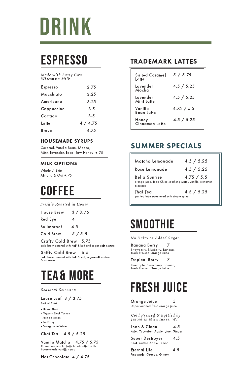# DRINK

## **ESPRESSO**

#### Made with Sassy Cow Wisconsin Milk

| <b>Espresso</b> | 2.75     |
|-----------------|----------|
| Macchiato       | 3.25     |
| Americano       | 3.25     |
| Cappuccino      | 3.5      |
| Cortado         | 3.5      |
| Latte           | 4 / 4.75 |
| Breve           | 4.75     |

#### **HOUSEMADE SYRUPS**

Caramel, Vanilla Bean, Mocha, Mint, Lavender, Local Raw Honey +.75

#### **MILK OPTIONS**

Whole / Skim Almond & Oat +.75

# **COFFEE**

Freshly Roasted in House

| <b>House Brew</b> | 3 / 3.75         |
|-------------------|------------------|
| <b>Red Eye</b>    | $\boldsymbol{4}$ |

**Bulletproof**  $4.5$ 

 $5/5.5$ Cold Brew

Crafty Cold Brew 5.75 cold brew aerated with half & half and sugar-salt mixture

#### Shifty Cold Brew 6.5 cold brew aerated with half & half, sugar-salt mixture & espresso

### **TEA&MORE**

### **TRADEMARK LATTES**

| <b>Salted Caramel</b><br>Latte | 5 / 5.75   |
|--------------------------------|------------|
| Lavender<br>Mocha              | 4.5 / 5.25 |
| Lavender<br>Mint Latte         | 4.5 / 5.25 |
| Vanilla<br><b>Bean Latte</b>   | 4.75 / 5.5 |
| Honey<br>Cinnamon Latte        | 4.5 / 5.25 |

### **SUMMER SPECIALS**

| Matcha Lemonade                                                                                  | 4.5 / 5.25 |
|--------------------------------------------------------------------------------------------------|------------|
| Rose Lemonade                                                                                    | 4.5 / 5.25 |
| <b>Bella Sunrise</b><br>orange juice, Topo Chico sparkling water, vanilla, cinnamon,<br>espresso | 4.75 / 5.5 |
| Thai Tea<br>thai tea latte sweetened with simple syrup                                           | 4.5 / 5.25 |

## **SMOOTHIE**

No Dairy or Added Sugar

**Banana Berry** 7 Strawberry, Blueberry, Banana, Fresh Pressed Orange Juice

**Tropical Berry** 7

Pineapple, Strawberry, Banana, Fresh Pressed Orange Juice

Seasonal Selection

Loose Leaf  $3 / 3.75$ Hot or Iced

- House Blend
- Organic Black Yuunan
- Jasmine Green
- Earl Grey
- Pomegranate White

Chai Tea  $4.5 / 5.25$ 

Vanilla Matcha 4.75 / 5.75 Green tea matcha latte handcrafted with house-made vanilla syrup

Hot Chocolate 4 / 4.75

### **FRESH JUICE**

Orange Juice  $\overline{5}$ Unpasteurized fresh orange juice

Cold Pressed  $\&$  Bottled by Juiced in Milwaukee, WI

Lean & Clean  $4.5$ Kale, Cucumber, Apple, Lime, Ginger

 $4.5$ **Super Destroyer** Beet, Carrot, Apple, Lemon

**Eternal Life**  $4.5$ Pineapple, Orange, Ginger